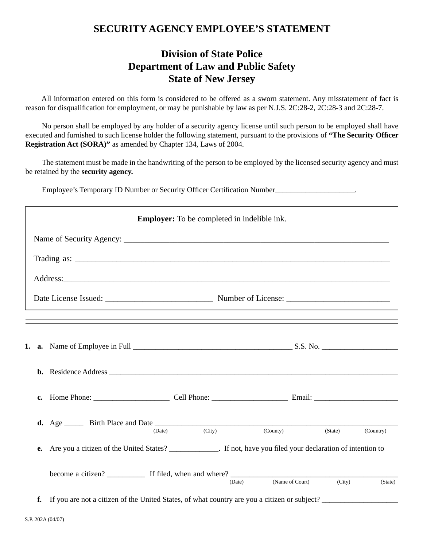## **SECURITY AGENCY EMPLOYEE'S STATEMENT**

## **Division of State Police Department of Law and Public Safety State of New Jersey**

 All information entered on this form is considered to be offered as a sworn statement. Any misstatement of fact is reason for disqualification for employment, or may be punishable by law as per N.J.S. 2C:28-2, 2C:28-3 and 2C:28-7.

 No person shall be employed by any holder of a security agency license until such person to be employed shall have executed and furnished to such license holder the following statement, pursuant to the provisions of "The Security Officer **Registration Act (SORA)"** as amended by Chapter 134, Laws of 2004.

 The statement must be made in the handwriting of the person to be employed by the licensed security agency and must be retained by the **security agency.**

Employee's Temporary ID Number or Security Officer Certification Number\_\_\_\_\_\_\_\_\_\_\_\_\_\_\_\_\_\_\_.

| <b>Employer:</b> To be completed in indelible ink. |                                                                                                               |                 |         |           |  |  |  |  |  |
|----------------------------------------------------|---------------------------------------------------------------------------------------------------------------|-----------------|---------|-----------|--|--|--|--|--|
|                                                    |                                                                                                               |                 |         |           |  |  |  |  |  |
|                                                    |                                                                                                               |                 |         |           |  |  |  |  |  |
|                                                    |                                                                                                               |                 |         |           |  |  |  |  |  |
|                                                    |                                                                                                               |                 |         |           |  |  |  |  |  |
|                                                    |                                                                                                               |                 |         |           |  |  |  |  |  |
|                                                    |                                                                                                               |                 |         |           |  |  |  |  |  |
|                                                    |                                                                                                               |                 |         |           |  |  |  |  |  |
|                                                    |                                                                                                               |                 |         |           |  |  |  |  |  |
|                                                    | <b>d.</b> Age $\_\_\_\_\$ Birth Place and Date $\_\_\_\_\text{(Date)}$ (City) (County) (State)                |                 | (State) | (Country) |  |  |  |  |  |
| e.                                                 | Are you a citizen of the United States? ____________. If not, have you filed your declaration of intention to |                 |         |           |  |  |  |  |  |
|                                                    | (Date)                                                                                                        | (Name of Court) | (City)  | (State)   |  |  |  |  |  |
|                                                    | f. If you are not a citizen of the United States, of what country are you a citizen or subject?               |                 |         |           |  |  |  |  |  |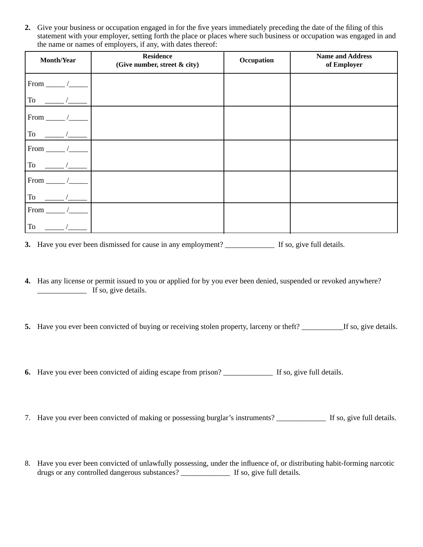**2.** Give your business or occupation engaged in for the five years immediately preceding the date of the filing of this statement with your employer, setting forth the place or places where such business or occupation was engaged in and the name or names of employers, if any, with dates thereof:

| Month/Year  | <b>Residence</b><br>(Give number, street & city) | Occupation | <b>Name and Address</b><br>of Employer |
|-------------|--------------------------------------------------|------------|----------------------------------------|
| $From \_\_$ |                                                  |            |                                        |
| To          |                                                  |            |                                        |
| From.       |                                                  |            |                                        |
| To          |                                                  |            |                                        |
| From        |                                                  |            |                                        |
| ${\rm To}$  |                                                  |            |                                        |
| From        |                                                  |            |                                        |
| To          |                                                  |            |                                        |
| From        |                                                  |            |                                        |
| To          |                                                  |            |                                        |

**3.** Have you ever been dismissed for cause in any employment? \_\_\_\_\_\_\_\_\_\_\_\_\_ If so, give full details.

- **4.** Has any license or permit issued to you or applied for by you ever been denied, suspended or revoked anywhere? \_\_\_\_\_\_\_\_\_\_\_\_\_ If so, give details.
- **5.** Have you ever been convicted of buying or receiving stolen property, larceny or theft? \_\_\_\_\_\_\_\_\_\_\_\_If so, give details.
- **6.** Have you ever been convicted of aiding escape from prison? \_\_\_\_\_\_\_\_\_\_\_\_\_\_\_\_\_\_ If so, give full details.
- 7. Have you ever been convicted of making or possessing burglar's instruments? \_\_\_\_\_\_\_\_\_\_\_\_\_ If so, give full details.
- 8. Have you ever been convicted of unlawfully possessing, under the influence of, or distributing habit-forming narcotic drugs or any controlled dangerous substances? \_\_\_\_\_\_\_\_\_\_\_\_\_ If so, give full details.